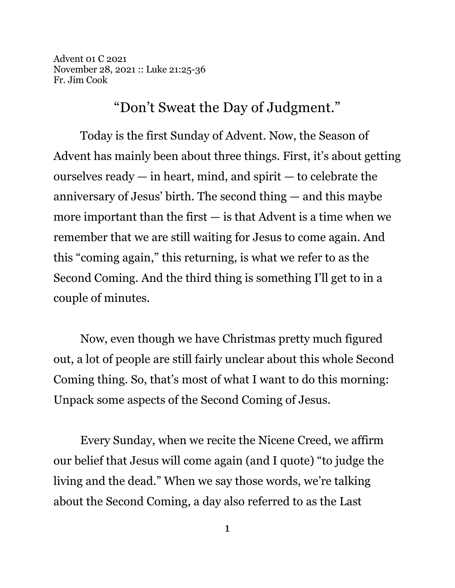Advent 01 C 2021 November 28, 2021 :: Luke 21:25-36 Fr. Jim Cook

"Don't Sweat the Day of Judgment."

Today is the first Sunday of Advent. Now, the Season of Advent has mainly been about three things. First, it's about getting ourselves ready  $-$  in heart, mind, and spirit  $-$  to celebrate the anniversary of Jesus' birth. The second thing — and this maybe more important than the first  $-$  is that Advent is a time when we remember that we are still waiting for Jesus to come again. And this "coming again," this returning, is what we refer to as the Second Coming. And the third thing is something I'll get to in a couple of minutes.

Now, even though we have Christmas pretty much figured out, a lot of people are still fairly unclear about this whole Second Coming thing. So, that's most of what I want to do this morning: Unpack some aspects of the Second Coming of Jesus.

Every Sunday, when we recite the Nicene Creed, we affirm our belief that Jesus will come again (and I quote) "to judge the living and the dead." When we say those words, we're talking about the Second Coming, a day also referred to as the Last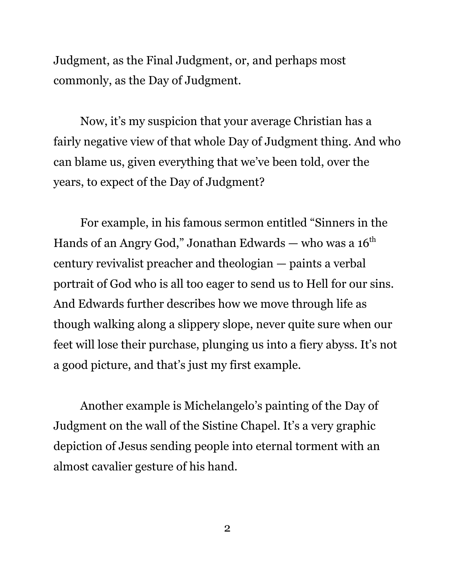Judgment, as the Final Judgment, or, and perhaps most commonly, as the Day of Judgment.

Now, it's my suspicion that your average Christian has a fairly negative view of that whole Day of Judgment thing. And who can blame us, given everything that we've been told, over the years, to expect of the Day of Judgment?

For example, in his famous sermon entitled "Sinners in the Hands of an Angry God," Jonathan Edwards — who was a  $16<sup>th</sup>$ century revivalist preacher and theologian — paints a verbal portrait of God who is all too eager to send us to Hell for our sins. And Edwards further describes how we move through life as though walking along a slippery slope, never quite sure when our feet will lose their purchase, plunging us into a fiery abyss. It's not a good picture, and that's just my first example.

Another example is Michelangelo's painting of the Day of Judgment on the wall of the Sistine Chapel. It's a very graphic depiction of Jesus sending people into eternal torment with an almost cavalier gesture of his hand.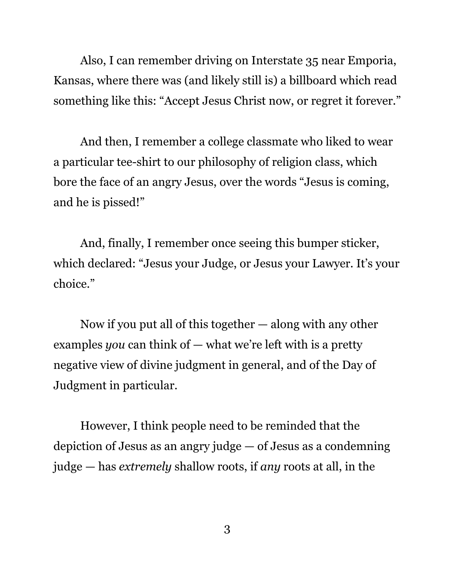Also, I can remember driving on Interstate 35 near Emporia, Kansas, where there was (and likely still is) a billboard which read something like this: "Accept Jesus Christ now, or regret it forever."

And then, I remember a college classmate who liked to wear a particular tee-shirt to our philosophy of religion class, which bore the face of an angry Jesus, over the words "Jesus is coming, and he is pissed!"

And, finally, I remember once seeing this bumper sticker, which declared: "Jesus your Judge, or Jesus your Lawyer. It's your choice."

Now if you put all of this together  $-$  along with any other examples *you* can think of — what we're left with is a pretty negative view of divine judgment in general, and of the Day of Judgment in particular.

However, I think people need to be reminded that the depiction of Jesus as an angry judge — of Jesus as a condemning judge — has *extremely* shallow roots, if *any* roots at all, in the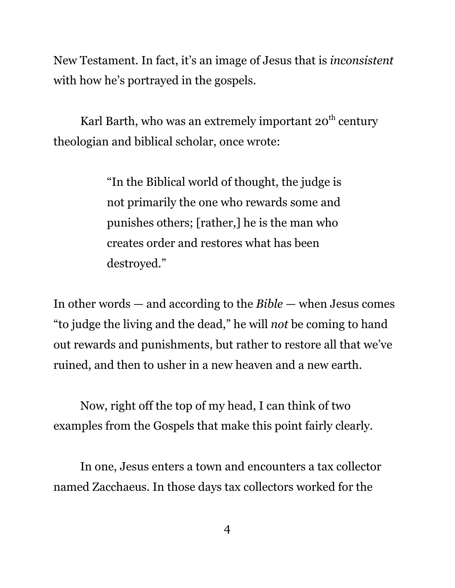New Testament. In fact, it's an image of Jesus that is *inconsistent* with how he's portrayed in the gospels.

Karl Barth, who was an extremely important 20<sup>th</sup> century theologian and biblical scholar, once wrote:

> "In the Biblical world of thought, the judge is not primarily the one who rewards some and punishes others; [rather,] he is the man who creates order and restores what has been destroyed."

In other words — and according to the *Bible* — when Jesus comes "to judge the living and the dead," he will *not* be coming to hand out rewards and punishments, but rather to restore all that we've ruined, and then to usher in a new heaven and a new earth.

Now, right off the top of my head, I can think of two examples from the Gospels that make this point fairly clearly.

In one, Jesus enters a town and encounters a tax collector named Zacchaeus. In those days tax collectors worked for the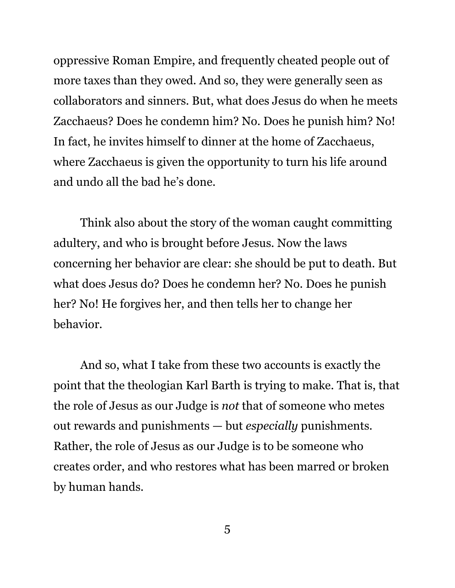oppressive Roman Empire, and frequently cheated people out of more taxes than they owed. And so, they were generally seen as collaborators and sinners. But, what does Jesus do when he meets Zacchaeus? Does he condemn him? No. Does he punish him? No! In fact, he invites himself to dinner at the home of Zacchaeus, where Zacchaeus is given the opportunity to turn his life around and undo all the bad he's done.

Think also about the story of the woman caught committing adultery, and who is brought before Jesus. Now the laws concerning her behavior are clear: she should be put to death. But what does Jesus do? Does he condemn her? No. Does he punish her? No! He forgives her, and then tells her to change her behavior.

And so, what I take from these two accounts is exactly the point that the theologian Karl Barth is trying to make. That is, that the role of Jesus as our Judge is *not* that of someone who metes out rewards and punishments — but *especially* punishments. Rather, the role of Jesus as our Judge is to be someone who creates order, and who restores what has been marred or broken by human hands.

5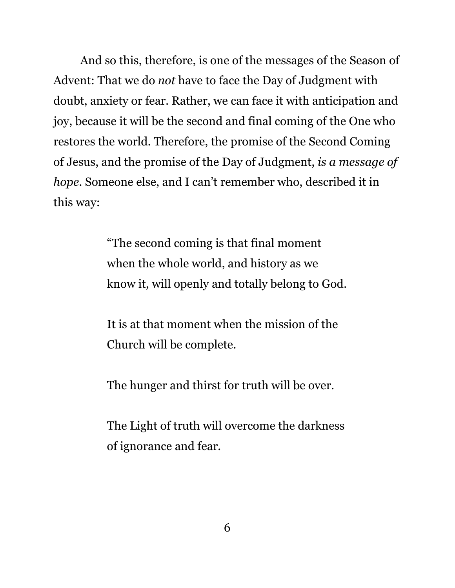And so this, therefore, is one of the messages of the Season of Advent: That we do *not* have to face the Day of Judgment with doubt, anxiety or fear. Rather, we can face it with anticipation and joy, because it will be the second and final coming of the One who restores the world. Therefore, the promise of the Second Coming of Jesus, and the promise of the Day of Judgment, *is a message of hope*. Someone else, and I can't remember who, described it in this way:

> "The second coming is that final moment when the whole world, and history as we know it, will openly and totally belong to God.

It is at that moment when the mission of the Church will be complete.

The hunger and thirst for truth will be over.

The Light of truth will overcome the darkness of ignorance and fear.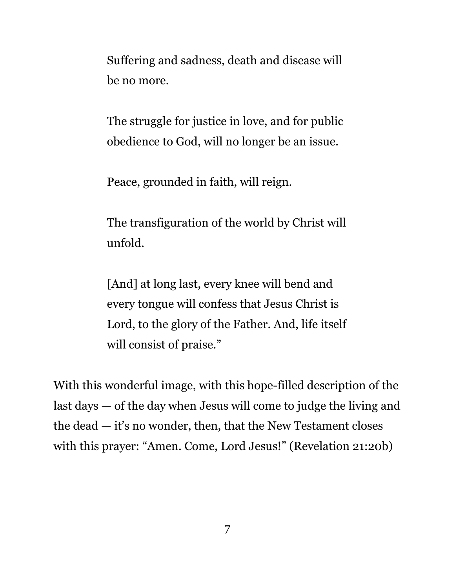Suffering and sadness, death and disease will be no more.

The struggle for justice in love, and for public obedience to God, will no longer be an issue.

Peace, grounded in faith, will reign.

The transfiguration of the world by Christ will unfold.

[And] at long last, every knee will bend and every tongue will confess that Jesus Christ is Lord, to the glory of the Father. And, life itself will consist of praise."

With this wonderful image, with this hope-filled description of the last days — of the day when Jesus will come to judge the living and the dead — it's no wonder, then, that the New Testament closes with this prayer: "Amen. Come, Lord Jesus!" (Revelation 21:20b)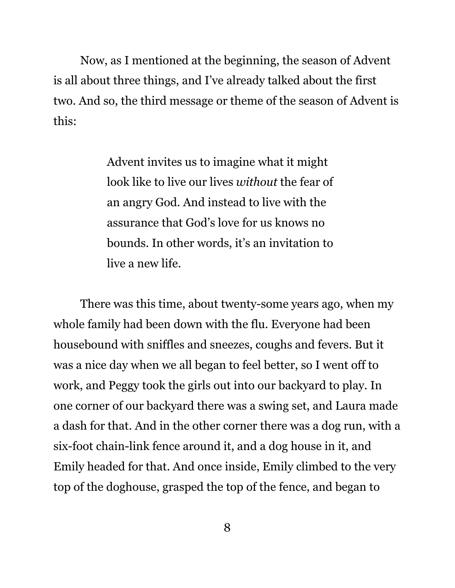Now, as I mentioned at the beginning, the season of Advent is all about three things, and I've already talked about the first two. And so, the third message or theme of the season of Advent is this:

> Advent invites us to imagine what it might look like to live our lives *without* the fear of an angry God. And instead to live with the assurance that God's love for us knows no bounds. In other words, it's an invitation to live a new life.

There was this time, about twenty-some years ago, when my whole family had been down with the flu. Everyone had been housebound with sniffles and sneezes, coughs and fevers. But it was a nice day when we all began to feel better, so I went off to work, and Peggy took the girls out into our backyard to play. In one corner of our backyard there was a swing set, and Laura made a dash for that. And in the other corner there was a dog run, with a six-foot chain-link fence around it, and a dog house in it, and Emily headed for that. And once inside, Emily climbed to the very top of the doghouse, grasped the top of the fence, and began to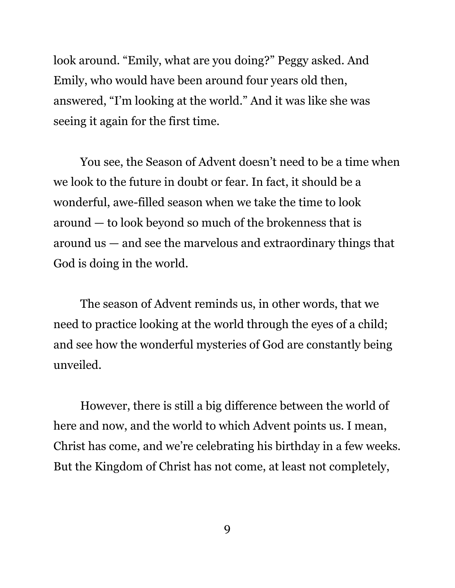look around. "Emily, what are you doing?" Peggy asked. And Emily, who would have been around four years old then, answered, "I'm looking at the world." And it was like she was seeing it again for the first time.

You see, the Season of Advent doesn't need to be a time when we look to the future in doubt or fear. In fact, it should be a wonderful, awe-filled season when we take the time to look around — to look beyond so much of the brokenness that is around us — and see the marvelous and extraordinary things that God is doing in the world.

The season of Advent reminds us, in other words, that we need to practice looking at the world through the eyes of a child; and see how the wonderful mysteries of God are constantly being unveiled.

However, there is still a big difference between the world of here and now, and the world to which Advent points us. I mean, Christ has come, and we're celebrating his birthday in a few weeks. But the Kingdom of Christ has not come, at least not completely,